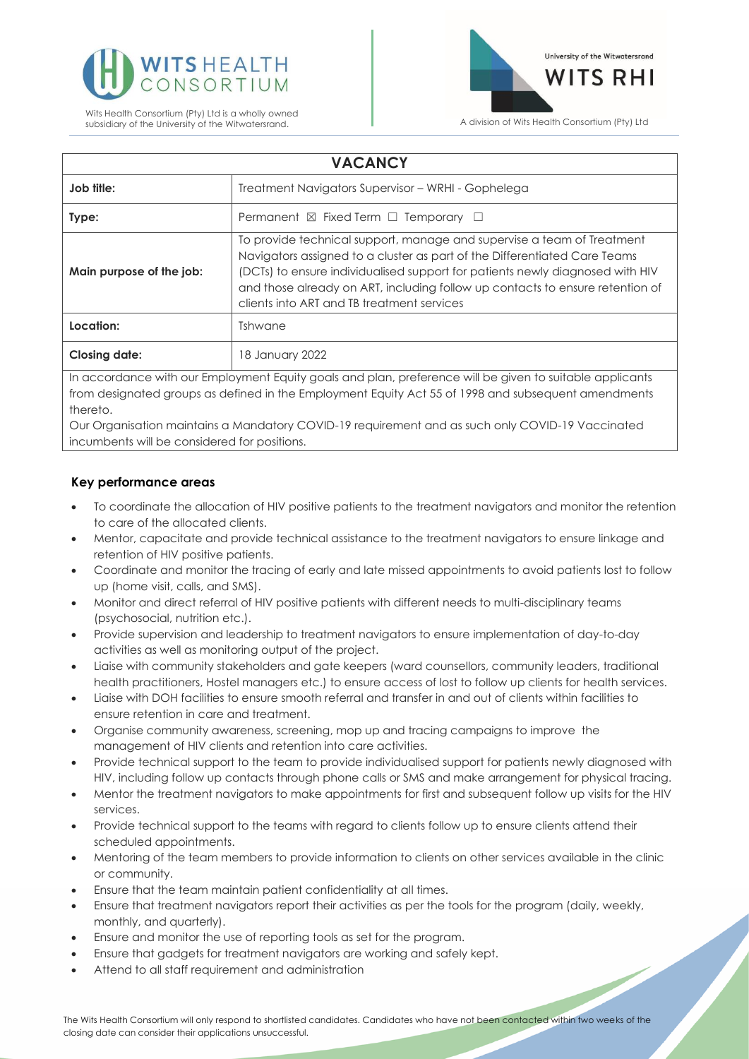



| <b>VACANCY</b>                                                                                           |                                                                                                                                                                                                                                                                                                                                                                     |
|----------------------------------------------------------------------------------------------------------|---------------------------------------------------------------------------------------------------------------------------------------------------------------------------------------------------------------------------------------------------------------------------------------------------------------------------------------------------------------------|
| Job title:                                                                                               | Treatment Navigators Supervisor – WRHI - Gophelega                                                                                                                                                                                                                                                                                                                  |
| Type:                                                                                                    | Permanent $\boxtimes$ Fixed Term $\Box$ Temporary $\Box$                                                                                                                                                                                                                                                                                                            |
| Main purpose of the job:                                                                                 | To provide technical support, manage and supervise a team of Treatment<br>Navigators assigned to a cluster as part of the Differentiated Care Teams<br>(DCTs) to ensure individualised support for patients newly diagnosed with HIV<br>and those already on ART, including follow up contacts to ensure retention of<br>clients into ART and TB treatment services |
| Location:                                                                                                | Tshwane                                                                                                                                                                                                                                                                                                                                                             |
| <b>Closing date:</b>                                                                                     | 18 January 2022                                                                                                                                                                                                                                                                                                                                                     |
| In accordance with our Employment Equity goals and plan, preference will be given to suitable applicants |                                                                                                                                                                                                                                                                                                                                                                     |

from designated groups as defined in the Employment Equity Act 55 of 1998 and subsequent amendments thereto.

Our Organisation maintains a Mandatory COVID-19 requirement and as such only COVID-19 Vaccinated incumbents will be considered for positions.

# **Key performance areas**

- To coordinate the allocation of HIV positive patients to the treatment navigators and monitor the retention to care of the allocated clients.
- Mentor, capacitate and provide technical assistance to the treatment navigators to ensure linkage and retention of HIV positive patients.
- Coordinate and monitor the tracing of early and late missed appointments to avoid patients lost to follow up (home visit, calls, and SMS).
- Monitor and direct referral of HIV positive patients with different needs to multi-disciplinary teams (psychosocial, nutrition etc.).
- Provide supervision and leadership to treatment navigators to ensure implementation of day-to-day activities as well as monitoring output of the project.
- Liaise with community stakeholders and gate keepers (ward counsellors, community leaders, traditional health practitioners, Hostel managers etc.) to ensure access of lost to follow up clients for health services.
- Liaise with DOH facilities to ensure smooth referral and transfer in and out of clients within facilities to ensure retention in care and treatment.
- Organise community awareness, screening, mop up and tracing campaigns to improve the management of HIV clients and retention into care activities.
- Provide technical support to the team to provide individualised support for patients newly diagnosed with HIV, including follow up contacts through phone calls or SMS and make arrangement for physical tracing.
- Mentor the treatment navigators to make appointments for first and subsequent follow up visits for the HIV services.
- Provide technical support to the teams with regard to clients follow up to ensure clients attend their scheduled appointments.
- Mentoring of the team members to provide information to clients on other services available in the clinic or community.
- Ensure that the team maintain patient confidentiality at all times.
- Ensure that treatment navigators report their activities as per the tools for the program (daily, weekly, monthly, and quarterly).
- Ensure and monitor the use of reporting tools as set for the program.
- Ensure that gadgets for treatment navigators are working and safely kept.
- Attend to all staff requirement and administration